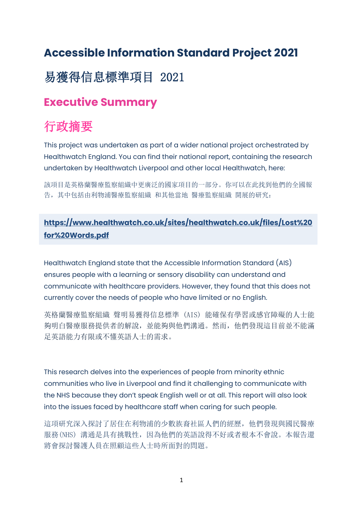## **Accessible Information Standard Project 2021**

## 易獲得信息標準項目 2021

### **Executive Summary**

# 行政摘要

This project was undertaken as part of a wider national project orchestrated by Healthwatch England. You can find their national report, containing the research undertaken by Healthwatch Liverpool and other local Healthwatch, here:

該項目是英格蘭醫療監察組織中更廣泛的國家項目的一部分。你可以在此找到他們的全國報 告,其中包括由利物浦醫療監察組織 和其他當地 醫療監察組織 開展的研究:

#### **[https://www.healthwatch.co.uk/sites/healthwatch.co.uk/files/Lost%20](about:blank) [for%20Words.pdf](about:blank)**

Healthwatch England state that the Accessible Information Standard (AIS) ensures people with a learning or sensory disability can understand and communicate with healthcare providers. However, they found that this does not currently cover the needs of people who have limited or no English.

英格蘭醫療監察組織 聲明易獲得信息標準 (AIS) 能確保有學習或感官障礙的人士能 夠明白醫療服務提供者的解說,並能夠與他們溝通。然而,他們發現這目前並不能滿 足英語能力有限或不懂英語人士的需求。

This research delves into the experiences of people from minority ethnic communities who live in Liverpool and find it challenging to communicate with the NHS because they don't speak English well or at all. This report will also look into the issues faced by healthcare staff when caring for such people.

這項研究深入探討了居住在利物浦的少數族裔社區人們的經歷,他們發現與國民醫療 服務(NHS) 溝通是具有挑戰性, 因為他們的英語說得不好或者根本不會說。本報告還 將會探討醫護人員在照顧這些人士時所面對的問題。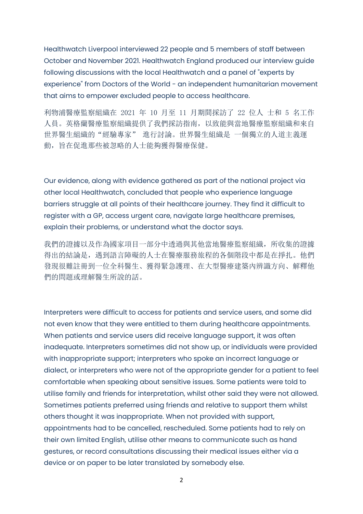Healthwatch Liverpool interviewed 22 people and 5 members of staff between October and November 2021. Healthwatch England produced our interview guide following discussions with the local Healthwatch and a panel of "experts by experience" from Doctors of the World - an independent humanitarian movement that aims to empower excluded people to access healthcare.

利物浦醫療監察組織在 2021 年 10 月至 11 月期間採訪了 22 位人 士和 5 名工作 人員。英格蘭醫療監察組織提供了我們採訪指南,以致能與當地醫療監察組織和來自 世界醫生組織的"經驗專家" 進行討論。世界醫生組織是 一個獨立的人道主義運 動,旨在促進那些被忽略的人士能夠獲得醫療保健。

Our evidence, along with evidence gathered as part of the national project via other local Healthwatch, concluded that people who experience language barriers struggle at all points of their healthcare journey. They find it difficult to register with a GP, access urgent care, navigate large healthcare premises, explain their problems, or understand what the doctor says.

我們的證據以及作為國家項目一部分中诱過與其他當地醫療監察組織,所收集的證據 得出的結論是,遇到語言障礙的人士在醫療服務旅程的各個階段中都是在掙扎。他們 發現很難註冊到一位全科醫生、獲得緊急護理、在大型醫療建築內辨識方向、解釋他 們的問題或理解醫生所說的話。

Interpreters were difficult to access for patients and service users, and some did not even know that they were entitled to them during healthcare appointments. When patients and service users did receive language support, it was often inadequate. Interpreters sometimes did not show up, or individuals were provided with inappropriate support; interpreters who spoke an incorrect language or dialect, or interpreters who were not of the appropriate gender for a patient to feel comfortable when speaking about sensitive issues. Some patients were told to utilise family and friends for interpretation, whilst other said they were not allowed. Sometimes patients preferred using friends and relative to support them whilst others thought it was inappropriate. When not provided with support, appointments had to be cancelled, rescheduled. Some patients had to rely on their own limited English, utilise other means to communicate such as hand gestures, or record consultations discussing their medical issues either via a device or on paper to be later translated by somebody else.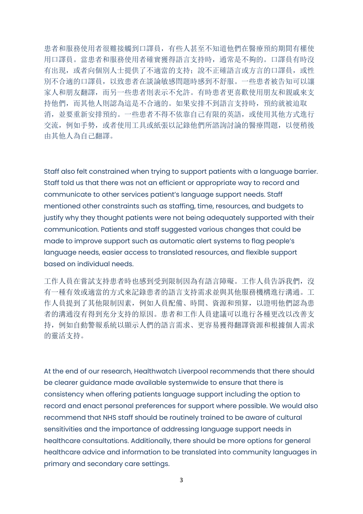患者和服務使用者很難接觸到口譯員,有些人甚至不知道他們在醫療預約期間有權使 用口譯員。當患者和服務使用者確實獲得語言支持時,通常是不夠的。口譯員有時沒 有出現, 或者向個別人士提供了不適當的支持;說不正確語言或方言的口譯員, 或性 別不合適的口譯員,以致患者在談論敏感問題時感到不舒服。一些患者被告知可以讓 家人和朋友翻譯,而另一些患者則表示不允許。有時患者更喜歡使用朋友和親戚來支 持他們,而其他人則認為這是不合適的。如果安排不到語言支持時,預約就被迫取 消,並要重新安排預約。一些患者不得不依靠自己有限的英語,或使用其他方式進行 交流,例如手勢,或者使用工具或紙張以記錄他們所諮詢討論的醫療問題,以便稍後 由其他人為自己翻譯。

Staff also felt constrained when trying to support patients with a language barrier. Staff told us that there was not an efficient or appropriate way to record and communicate to other services patient's language support needs. Staff mentioned other constraints such as staffing, time, resources, and budgets to justify why they thought patients were not being adequately supported with their communication. Patients and staff suggested various changes that could be made to improve support such as automatic alert systems to flag people's language needs, easier access to translated resources, and flexible support based on individual needs.

工作人員在嘗試支持患者時也感到受到限制因為有語言障礙。工作人員告訴我們,沒 有一種有效或適當的方式來記錄患者的語言支持需求並與其他服務機構進行溝通。工 作人員提到了其他限制因素,例如人員配備、時間、資源和預算,以證明他們認為患 者的溝通沒有得到充分支持的原因。患者和工作人員建議可以進行各種更改以改善支 持,例如自動警報系統以顯示人們的語言需求、更容易獲得翻譯資源和根據個人需求 的靈活支持。

At the end of our research, Healthwatch Liverpool recommends that there should be clearer guidance made available systemwide to ensure that there is consistency when offering patients language support including the option to record and enact personal preferences for support where possible. We would also recommend that NHS staff should be routinely trained to be aware of cultural sensitivities and the importance of addressing language support needs in healthcare consultations. Additionally, there should be more options for general healthcare advice and information to be translated into community languages in primary and secondary care settings.